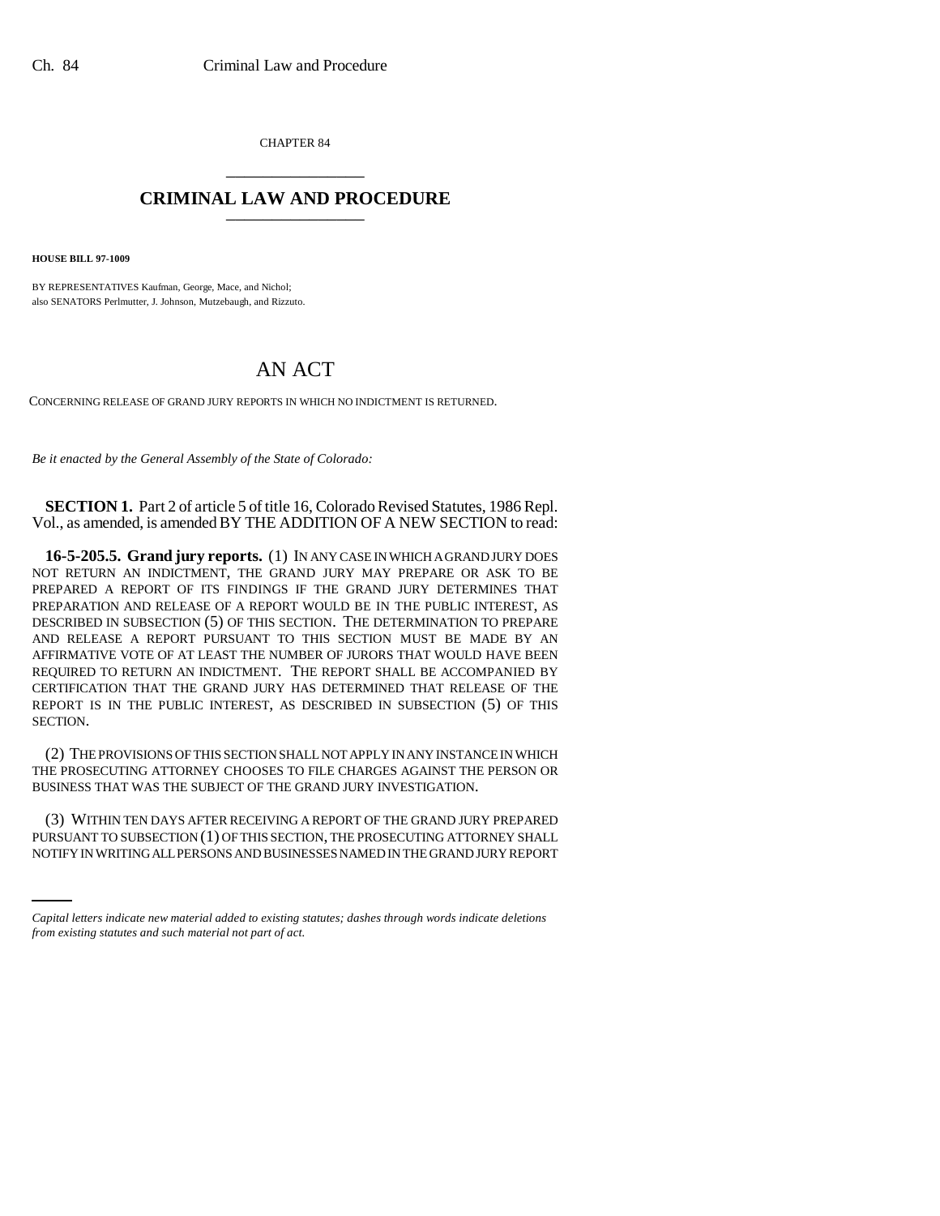CHAPTER 84 \_\_\_\_\_\_\_\_\_\_\_\_\_\_\_

## **CRIMINAL LAW AND PROCEDURE** \_\_\_\_\_\_\_\_\_\_\_\_\_\_\_

**HOUSE BILL 97-1009**

BY REPRESENTATIVES Kaufman, George, Mace, and Nichol; also SENATORS Perlmutter, J. Johnson, Mutzebaugh, and Rizzuto.

## AN ACT

CONCERNING RELEASE OF GRAND JURY REPORTS IN WHICH NO INDICTMENT IS RETURNED.

*Be it enacted by the General Assembly of the State of Colorado:*

**SECTION 1.** Part 2 of article 5 of title 16, Colorado Revised Statutes, 1986 Repl. Vol., as amended, is amended BY THE ADDITION OF A NEW SECTION to read:

**16-5-205.5. Grand jury reports.** (1) IN ANY CASE IN WHICH A GRAND JURY DOES NOT RETURN AN INDICTMENT, THE GRAND JURY MAY PREPARE OR ASK TO BE PREPARED A REPORT OF ITS FINDINGS IF THE GRAND JURY DETERMINES THAT PREPARATION AND RELEASE OF A REPORT WOULD BE IN THE PUBLIC INTEREST, AS DESCRIBED IN SUBSECTION (5) OF THIS SECTION. THE DETERMINATION TO PREPARE AND RELEASE A REPORT PURSUANT TO THIS SECTION MUST BE MADE BY AN AFFIRMATIVE VOTE OF AT LEAST THE NUMBER OF JURORS THAT WOULD HAVE BEEN REQUIRED TO RETURN AN INDICTMENT. THE REPORT SHALL BE ACCOMPANIED BY CERTIFICATION THAT THE GRAND JURY HAS DETERMINED THAT RELEASE OF THE REPORT IS IN THE PUBLIC INTEREST, AS DESCRIBED IN SUBSECTION (5) OF THIS SECTION.

(2) THE PROVISIONS OF THIS SECTION SHALL NOT APPLY IN ANY INSTANCE IN WHICH THE PROSECUTING ATTORNEY CHOOSES TO FILE CHARGES AGAINST THE PERSON OR BUSINESS THAT WAS THE SUBJECT OF THE GRAND JURY INVESTIGATION.

(3) WITHIN TEN DAYS AFTER RECEIVING A REPORT OF THE GRAND JURY PREPARED PURSUANT TO SUBSECTION (1) OF THIS SECTION, THE PROSECUTING ATTORNEY SHALL NOTIFY IN WRITING ALL PERSONS AND BUSINESSES NAMED IN THE GRAND JURY REPORT

*Capital letters indicate new material added to existing statutes; dashes through words indicate deletions from existing statutes and such material not part of act.*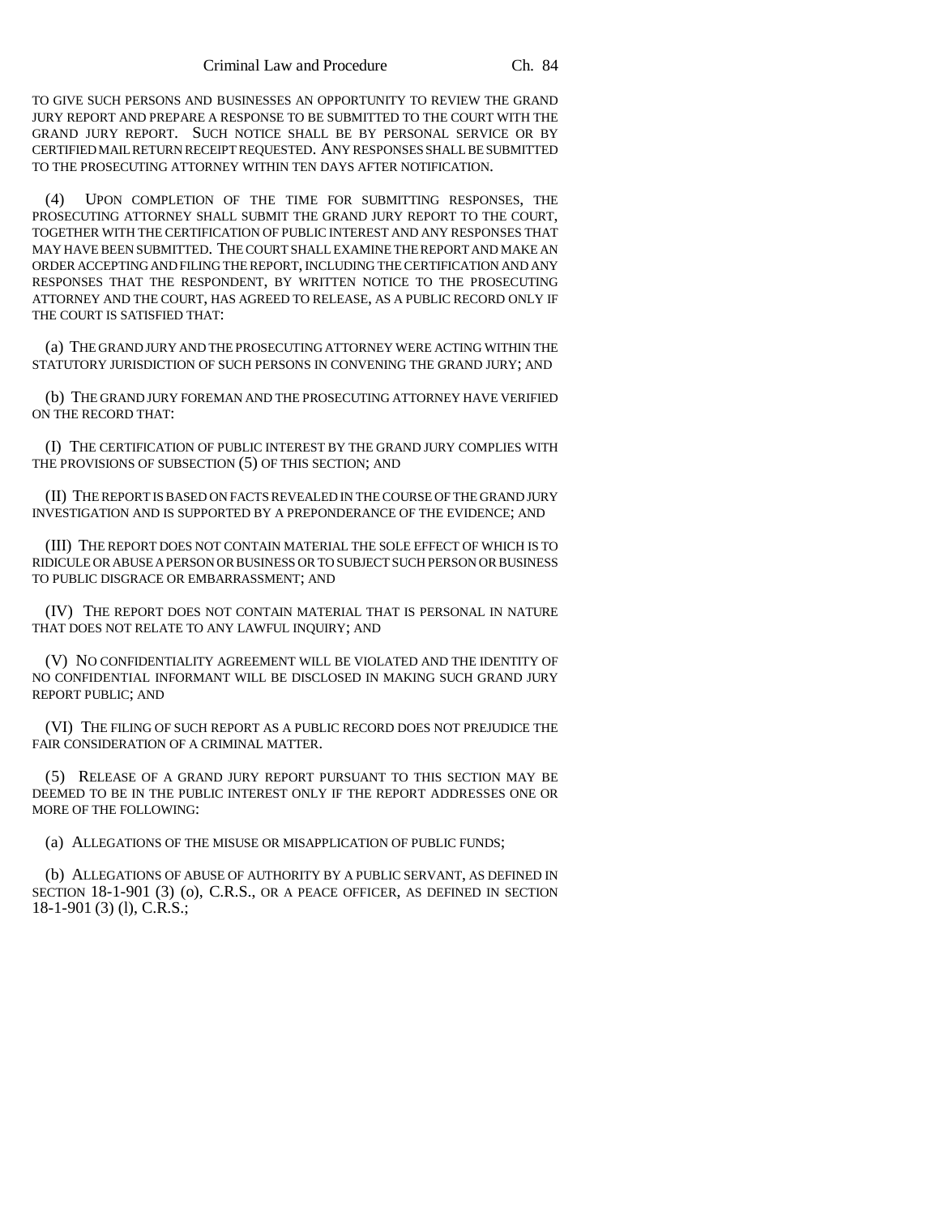TO GIVE SUCH PERSONS AND BUSINESSES AN OPPORTUNITY TO REVIEW THE GRAND JURY REPORT AND PREPARE A RESPONSE TO BE SUBMITTED TO THE COURT WITH THE GRAND JURY REPORT. SUCH NOTICE SHALL BE BY PERSONAL SERVICE OR BY CERTIFIED MAIL RETURN RECEIPT REQUESTED. ANY RESPONSES SHALL BE SUBMITTED TO THE PROSECUTING ATTORNEY WITHIN TEN DAYS AFTER NOTIFICATION.

(4) UPON COMPLETION OF THE TIME FOR SUBMITTING RESPONSES, THE PROSECUTING ATTORNEY SHALL SUBMIT THE GRAND JURY REPORT TO THE COURT, TOGETHER WITH THE CERTIFICATION OF PUBLIC INTEREST AND ANY RESPONSES THAT MAY HAVE BEEN SUBMITTED. THE COURT SHALL EXAMINE THE REPORT AND MAKE AN ORDER ACCEPTING AND FILING THE REPORT, INCLUDING THE CERTIFICATION AND ANY RESPONSES THAT THE RESPONDENT, BY WRITTEN NOTICE TO THE PROSECUTING ATTORNEY AND THE COURT, HAS AGREED TO RELEASE, AS A PUBLIC RECORD ONLY IF THE COURT IS SATISFIED THAT:

(a) THE GRAND JURY AND THE PROSECUTING ATTORNEY WERE ACTING WITHIN THE STATUTORY JURISDICTION OF SUCH PERSONS IN CONVENING THE GRAND JURY; AND

(b) THE GRAND JURY FOREMAN AND THE PROSECUTING ATTORNEY HAVE VERIFIED ON THE RECORD THAT:

(I) THE CERTIFICATION OF PUBLIC INTEREST BY THE GRAND JURY COMPLIES WITH THE PROVISIONS OF SUBSECTION (5) OF THIS SECTION; AND

(II) THE REPORT IS BASED ON FACTS REVEALED IN THE COURSE OF THE GRAND JURY INVESTIGATION AND IS SUPPORTED BY A PREPONDERANCE OF THE EVIDENCE; AND

(III) THE REPORT DOES NOT CONTAIN MATERIAL THE SOLE EFFECT OF WHICH IS TO RIDICULE OR ABUSE A PERSON OR BUSINESS OR TO SUBJECT SUCH PERSON OR BUSINESS TO PUBLIC DISGRACE OR EMBARRASSMENT; AND

(IV) THE REPORT DOES NOT CONTAIN MATERIAL THAT IS PERSONAL IN NATURE THAT DOES NOT RELATE TO ANY LAWFUL INQUIRY; AND

(V) NO CONFIDENTIALITY AGREEMENT WILL BE VIOLATED AND THE IDENTITY OF NO CONFIDENTIAL INFORMANT WILL BE DISCLOSED IN MAKING SUCH GRAND JURY REPORT PUBLIC; AND

(VI) THE FILING OF SUCH REPORT AS A PUBLIC RECORD DOES NOT PREJUDICE THE FAIR CONSIDERATION OF A CRIMINAL MATTER.

(5) RELEASE OF A GRAND JURY REPORT PURSUANT TO THIS SECTION MAY BE DEEMED TO BE IN THE PUBLIC INTEREST ONLY IF THE REPORT ADDRESSES ONE OR MORE OF THE FOLLOWING:

(a) ALLEGATIONS OF THE MISUSE OR MISAPPLICATION OF PUBLIC FUNDS;

(b) ALLEGATIONS OF ABUSE OF AUTHORITY BY A PUBLIC SERVANT, AS DEFINED IN SECTION 18-1-901 (3) (o), C.R.S., OR A PEACE OFFICER, AS DEFINED IN SECTION 18-1-901 (3) (l), C.R.S.;